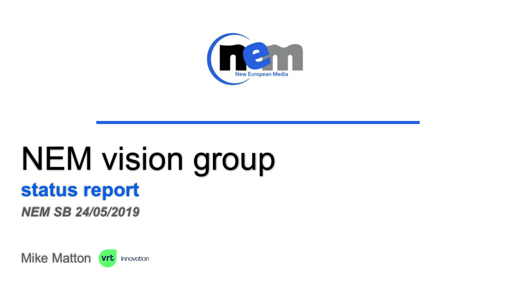

# NEM vision group **status report**

*NEM SB 24/05/2019*

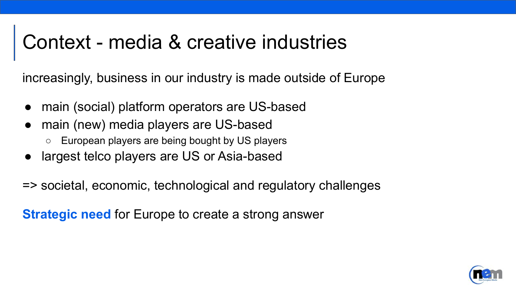#### Context - media & creative industries

increasingly, business in our industry is made outside of Europe

- main (social) platform operators are US-based
- main (new) media players are US-based
	- European players are being bought by US players
- largest telco players are US or Asia-based
- => societal, economic, technological and regulatory challenges

**Strategic need** for Europe to create a strong answer

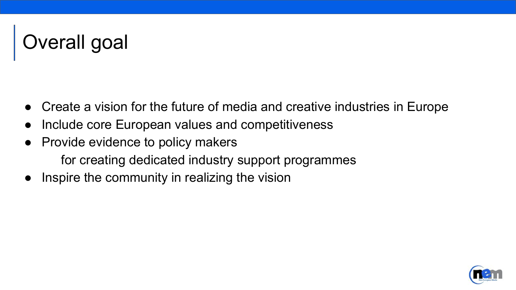## Overall goal

- Create a vision for the future of media and creative industries in Europe
- Include core European values and competitiveness
- Provide evidence to policy makers for creating dedicated industry support programmes
- Inspire the community in realizing the vision

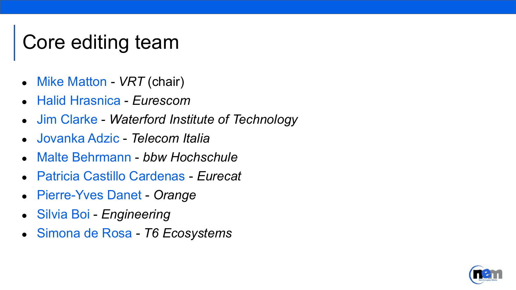### Core editing team

- Mike Matton *VRT* (chair)
- Halid Hrasnica *Eurescom*
- Jim Clarke *Waterford Institute of Technology*
- Jovanka Adzic *Telecom Italia*
- Malte Behrmann *bbw Hochschule*
- Patricia Castillo Cardenas *Eurecat*
- Pierre-Yves Danet *Orange*
- Silvia Boi *Engineering*
- Simona de Rosa *T6 Ecosystems*

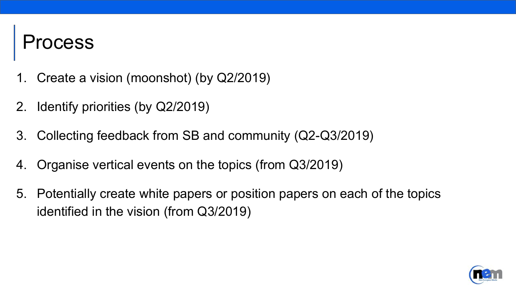#### rocess

- 1. Create a vision (moonshot) (by Q2/2019)
- 2. Identify priorities (by Q2/2019)
- 3. Collecting feedback from SB and community (Q2-Q3/2019)
- 4. Organise vertical events on the topics (from Q3/2019)
- 5. Potentially create white papers or position papers on each of the topics identified in the vision (from Q3/2019)

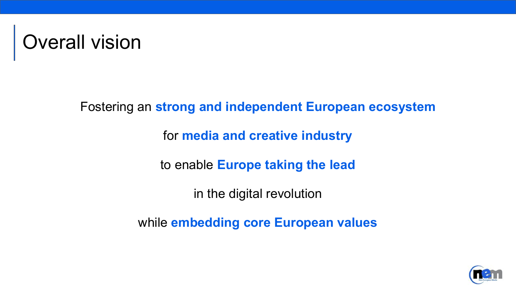

Fostering an **strong and independent European ecosystem**

for **media and creative industry**

to enable **Europe taking the lead**

in the digital revolution

while **embedding core European values** 

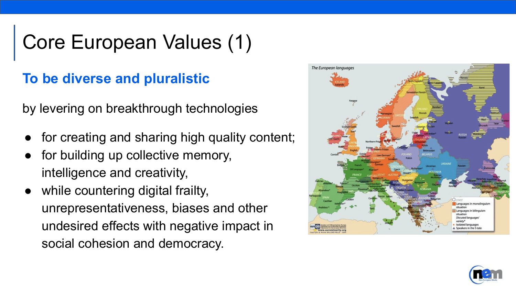#### Core European Values (1)

#### **To be diverse and pluralistic**

by levering on breakthrough technologies

- for creating and sharing high quality content;
- for building up collective memory, intelligence and creativity,
- while countering digital frailty, unrepresentativeness, biases and other undesired effects with negative impact in social cohesion and democracy.



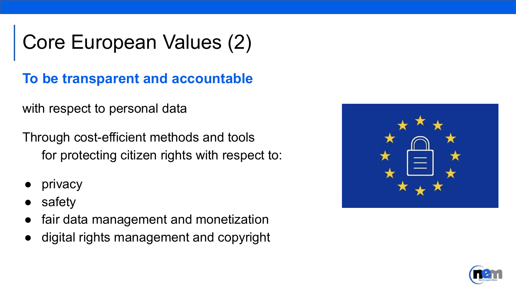### Core European Values (2)

**To be transparent and accountable**

with respect to personal data

Through cost-efficient methods and tools for protecting citizen rights with respect to:

- privacy
- safety
- fair data management and monetization
- digital rights management and copyright



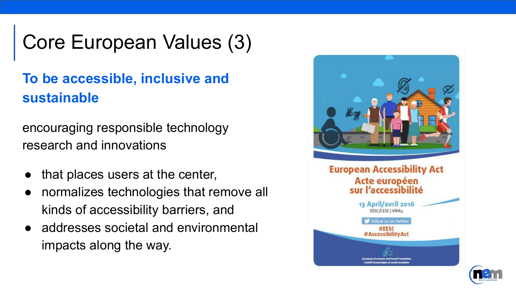#### Core European Values (3)

#### **To be accessible, inclusive and sustainable**

encouraging responsible technology research and innovations

- that places users at the center,
- normalizes technologies that remove all kinds of accessibility barriers, and
- addresses societal and environmental impacts along the way.

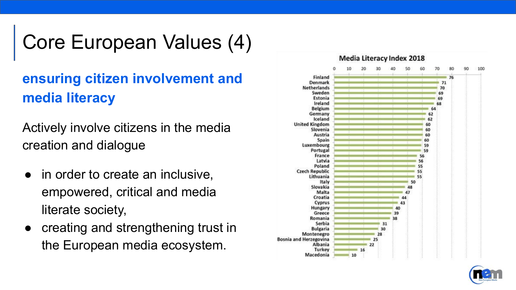### Core European Values (4)

#### **ensuring citizen involvement and media literacy**

Actively involve citizens in the media creation and dialogue

- in order to create an inclusive, empowered, critical and media literate society,
- creating and strengthening trust in the European media ecosystem.



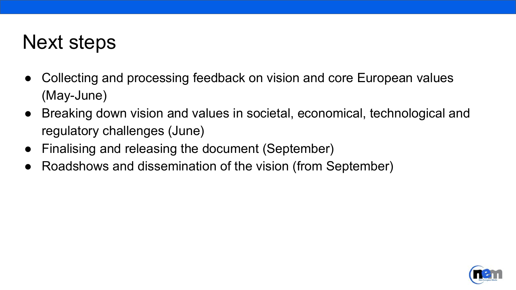#### Next steps

- Collecting and processing feedback on vision and core European values (May-June)
- Breaking down vision and values in societal, economical, technological and regulatory challenges (June)
- Finalising and releasing the document (September)
- Roadshows and dissemination of the vision (from September)

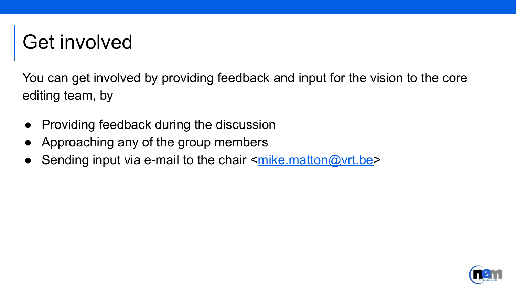#### Get involved

You can get involved by providing feedback and input for the vision to the core editing team, by

- Providing feedback during the discussion
- Approaching any of the group members
- Sending input via e-mail to the chair  $\leq$  mike.matton @vrt.be>